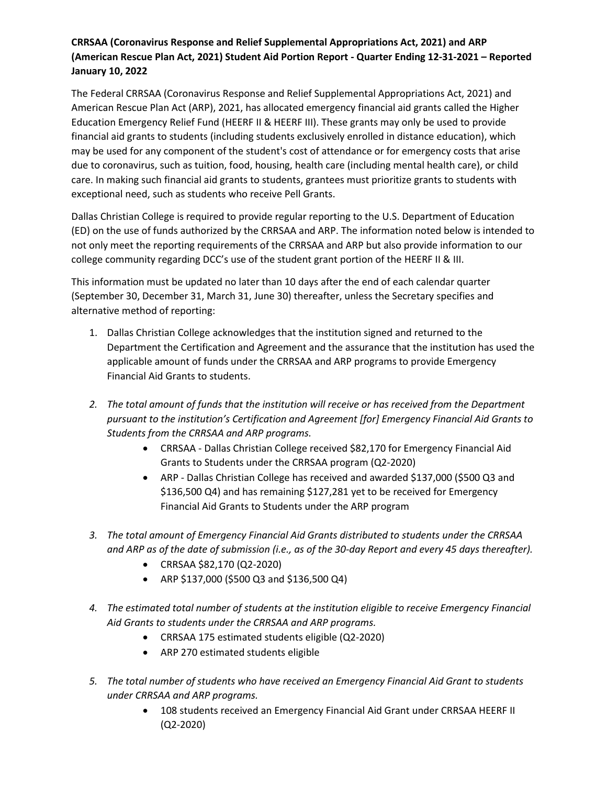## **CRRSAA (Coronavirus Response and Relief Supplemental Appropriations Act, 2021) and ARP (American Rescue Plan Act, 2021) Student Aid Portion Report - Quarter Ending 12-31-2021 – Reported January 10, 2022**

The Federal CRRSAA (Coronavirus Response and Relief Supplemental Appropriations Act, 2021) and American Rescue Plan Act (ARP), 2021, has allocated emergency financial aid grants called the Higher Education Emergency Relief Fund (HEERF II & HEERF III). These grants may only be used to provide financial aid grants to students (including students exclusively enrolled in distance education), which may be used for any component of the student's cost of attendance or for emergency costs that arise due to coronavirus, such as tuition, food, housing, health care (including mental health care), or child care. In making such financial aid grants to students, grantees must prioritize grants to students with exceptional need, such as students who receive Pell Grants.

Dallas Christian College is required to provide regular reporting to the U.S. Department of Education (ED) on the use of funds authorized by the CRRSAA and ARP. The information noted below is intended to not only meet the reporting requirements of the CRRSAA and ARP but also provide information to our college community regarding DCC's use of the student grant portion of the HEERF II & III.

This information must be updated no later than 10 days after the end of each calendar quarter (September 30, December 31, March 31, June 30) thereafter, unless the Secretary specifies and alternative method of reporting:

- 1. Dallas Christian College acknowledges that the institution signed and returned to the Department the Certification and Agreement and the assurance that the institution has used the applicable amount of funds under the CRRSAA and ARP programs to provide Emergency Financial Aid Grants to students.
- *2. The total amount of funds that the institution will receive or has received from the Department pursuant to the institution's Certification and Agreement [for] Emergency Financial Aid Grants to Students from the CRRSAA and ARP programs.*
	- CRRSAA Dallas Christian College received \$82,170 for Emergency Financial Aid Grants to Students under the CRRSAA program (Q2-2020)
	- ARP Dallas Christian College has received and awarded \$137,000 (\$500 Q3 and \$136,500 Q4) and has remaining \$127,281 yet to be received for Emergency Financial Aid Grants to Students under the ARP program
- *3. The total amount of Emergency Financial Aid Grants distributed to students under the CRRSAA and ARP as of the date of submission (i.e., as of the 30-day Report and every 45 days thereafter).*
	- CRRSAA \$82,170 (Q2-2020)
	- ARP \$137,000 (\$500 Q3 and \$136,500 Q4)
- *4. The estimated total number of students at the institution eligible to receive Emergency Financial Aid Grants to students under the CRRSAA and ARP programs.*
	- CRRSAA 175 estimated students eligible (Q2-2020)
	- ARP 270 estimated students eligible
- *5. The total number of students who have received an Emergency Financial Aid Grant to students under CRRSAA and ARP programs.*
	- 108 students received an Emergency Financial Aid Grant under CRRSAA HEERF II (Q2-2020)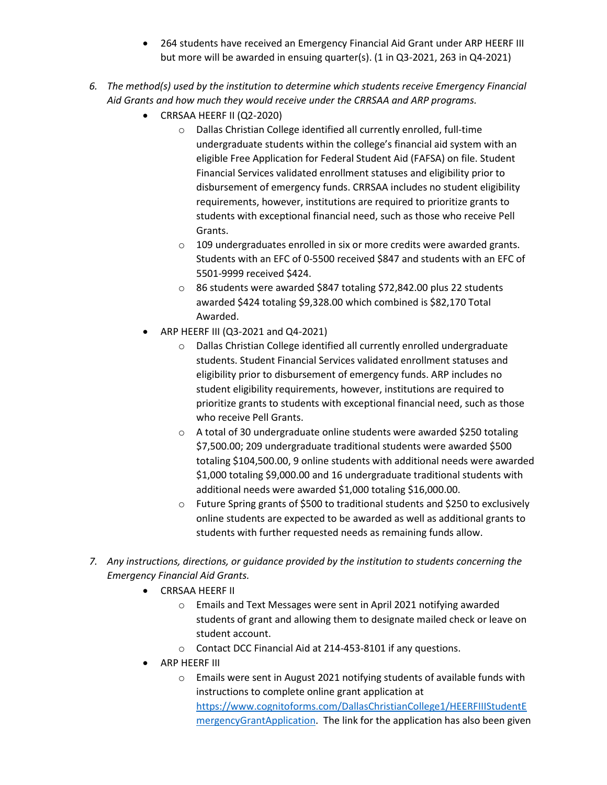- 264 students have received an Emergency Financial Aid Grant under ARP HEERF III but more will be awarded in ensuing quarter(s). (1 in Q3-2021, 263 in Q4-2021)
- *6. The method(s) used by the institution to determine which students receive Emergency Financial Aid Grants and how much they would receive under the CRRSAA and ARP programs.*
	- CRRSAA HEERF II (Q2-2020)
		- o Dallas Christian College identified all currently enrolled, full-time undergraduate students within the college's financial aid system with an eligible Free Application for Federal Student Aid (FAFSA) on file. Student Financial Services validated enrollment statuses and eligibility prior to disbursement of emergency funds. CRRSAA includes no student eligibility requirements, however, institutions are required to prioritize grants to students with exceptional financial need, such as those who receive Pell Grants.
		- o 109 undergraduates enrolled in six or more credits were awarded grants. Students with an EFC of 0-5500 received \$847 and students with an EFC of 5501-9999 received \$424.
		- o 86 students were awarded \$847 totaling \$72,842.00 plus 22 students awarded \$424 totaling \$9,328.00 which combined is \$82,170 Total Awarded.
	- ARP HEERF III (Q3-2021 and Q4-2021)
		- o Dallas Christian College identified all currently enrolled undergraduate students. Student Financial Services validated enrollment statuses and eligibility prior to disbursement of emergency funds. ARP includes no student eligibility requirements, however, institutions are required to prioritize grants to students with exceptional financial need, such as those who receive Pell Grants.
		- o A total of 30 undergraduate online students were awarded \$250 totaling \$7,500.00; 209 undergraduate traditional students were awarded \$500 totaling \$104,500.00, 9 online students with additional needs were awarded \$1,000 totaling \$9,000.00 and 16 undergraduate traditional students with additional needs were awarded \$1,000 totaling \$16,000.00.
		- $\circ$  Future Spring grants of \$500 to traditional students and \$250 to exclusively online students are expected to be awarded as well as additional grants to students with further requested needs as remaining funds allow.
- *7. Any instructions, directions, or guidance provided by the institution to students concerning the Emergency Financial Aid Grants.*
	- CRRSAA HEERF II
		- o Emails and Text Messages were sent in April 2021 notifying awarded students of grant and allowing them to designate mailed check or leave on student account.
		- o Contact DCC Financial Aid at 214-453-8101 if any questions.
	- ARP HEERF III
		- o Emails were sent in August 2021 notifying students of available funds with instructions to complete online grant application at [https://www.cognitoforms.com/DallasChristianCollege1/HEERFIIIStudentE](https://www.cognitoforms.com/DallasChristianCollege1/HEERFIIIStudentEmergencyGrantApplication) [mergencyGrantApplication.](https://www.cognitoforms.com/DallasChristianCollege1/HEERFIIIStudentEmergencyGrantApplication) The link for the application has also been given